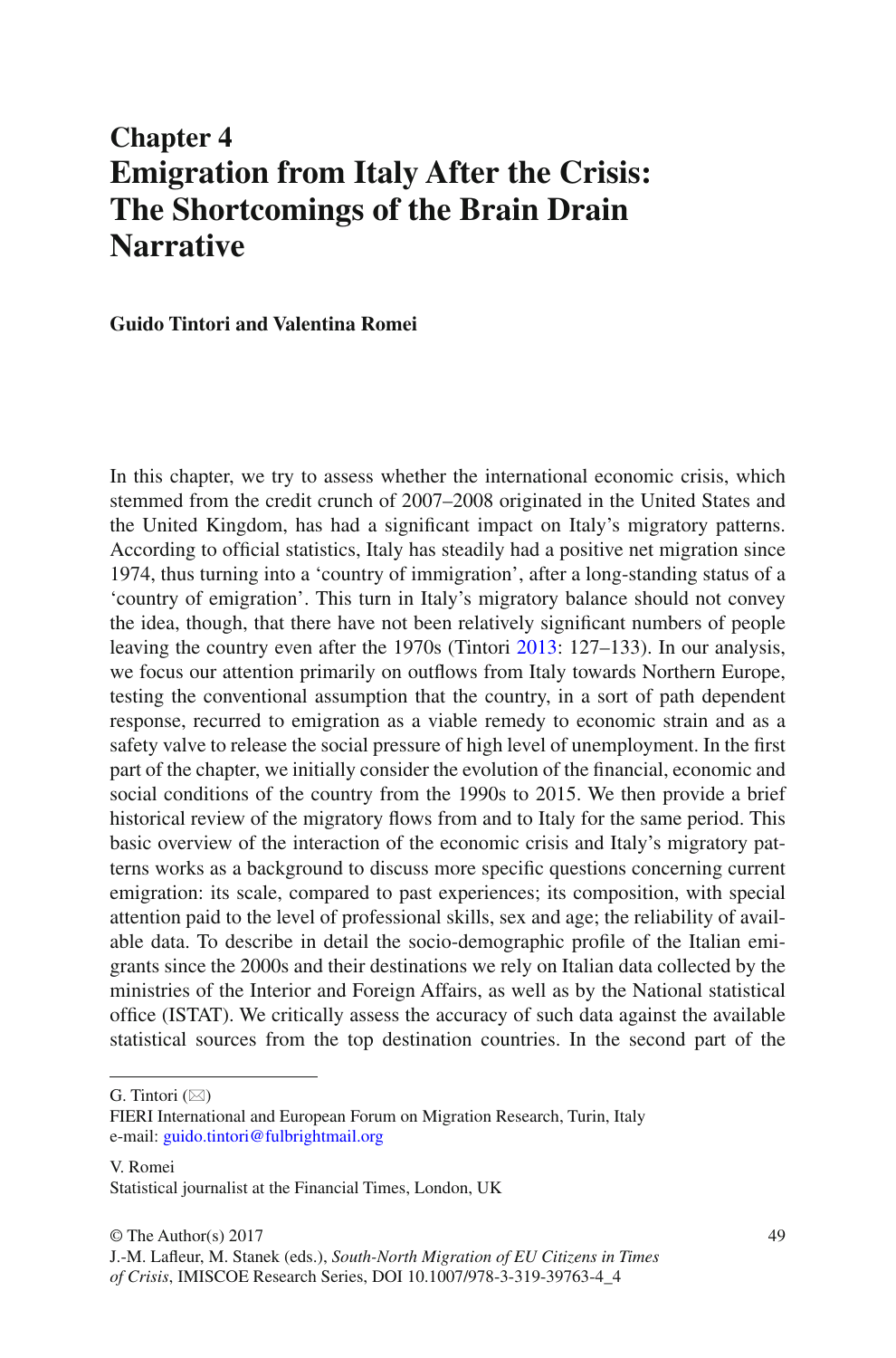# **Chapter 4 Emigration from Italy After the Crisis: The Shortcomings of the Brain Drain Narrative**

 **Guido Tintori and Valentina Romei** 

 In this chapter, we try to assess whether the international economic crisis, which stemmed from the credit crunch of 2007–2008 originated in the United States and the United Kingdom, has had a significant impact on Italy's migratory patterns. According to official statistics, Italy has steadily had a positive net migration since 1974, thus turning into a 'country of immigration', after a long-standing status of a 'country of emigration'. This turn in Italy's migratory balance should not convey the idea, though, that there have not been relatively significant numbers of people leaving the country even after the 1970s (Tintori 2013: 127–133). In our analysis, we focus our attention primarily on outflows from Italy towards Northern Europe, testing the conventional assumption that the country, in a sort of path dependent response, recurred to emigration as a viable remedy to economic strain and as a safety valve to release the social pressure of high level of unemployment. In the first part of the chapter, we initially consider the evolution of the financial, economic and social conditions of the country from the 1990s to 2015. We then provide a brief historical review of the migratory flows from and to Italy for the same period. This basic overview of the interaction of the economic crisis and Italy's migratory patterns works as a background to discuss more specific questions concerning current emigration: its scale, compared to past experiences; its composition, with special attention paid to the level of professional skills, sex and age; the reliability of available data. To describe in detail the socio-demographic profile of the Italian emigrants since the 2000s and their destinations we rely on Italian data collected by the ministries of the Interior and Foreign Affairs, as well as by the National statistical office (ISTAT). We critically assess the accuracy of such data against the available statistical sources from the top destination countries. In the second part of the

G. Tintori  $(\boxtimes)$ 

FIERI International and European Forum on Migration Research, Turin, Italy e-mail: [guido.tintori@fulbrightmail.org](mailto:guido.tintori@fulbrightmail.org)

V. Romei Statistical journalist at the Financial Times, London, UK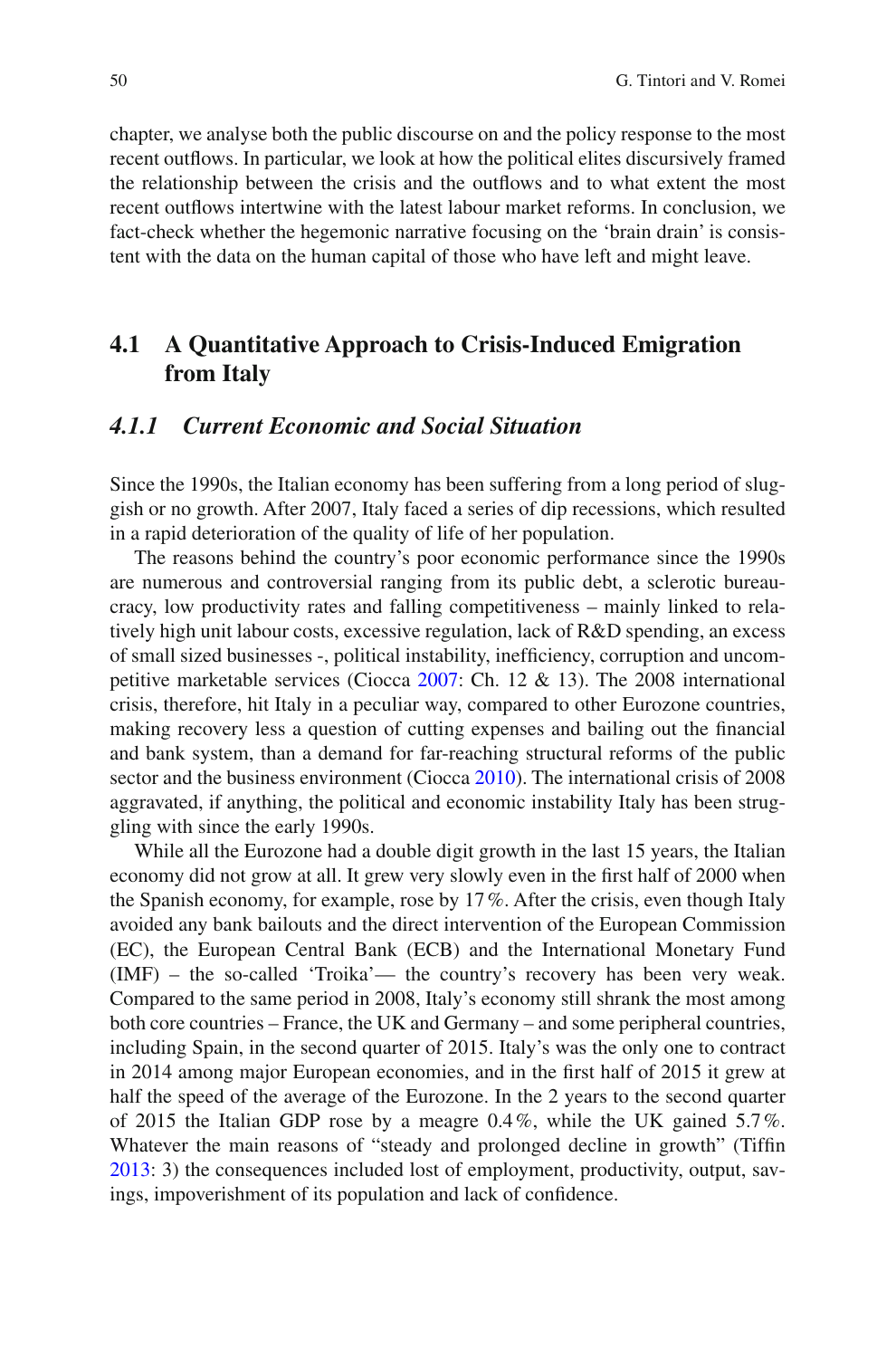chapter, we analyse both the public discourse on and the policy response to the most recent outflows. In particular, we look at how the political elites discursively framed the relationship between the crisis and the outflows and to what extent the most recent outflows intertwine with the latest labour market reforms. In conclusion, we fact-check whether the hegemonic narrative focusing on the 'brain drain' is consistent with the data on the human capital of those who have left and might leave.

# **4.1 A Quantitative Approach to Crisis-Induced Emigration from Italy**

#### *4.1.1 Current Economic and Social Situation*

 Since the 1990s, the Italian economy has been suffering from a long period of sluggish or no growth. After 2007, Italy faced a series of dip recessions, which resulted in a rapid deterioration of the quality of life of her population.

 The reasons behind the country's poor economic performance since the 1990s are numerous and controversial ranging from its public debt, a sclerotic bureaucracy, low productivity rates and falling competitiveness – mainly linked to relatively high unit labour costs, excessive regulation, lack of R&D spending, an excess of small sized businesses -, political instability, inefficiency, corruption and uncompetitive marketable services (Ciocca 2007: Ch. 12  $\&$  13). The 2008 international crisis, therefore, hit Italy in a peculiar way, compared to other Eurozone countries, making recovery less a question of cutting expenses and bailing out the financial and bank system, than a demand for far-reaching structural reforms of the public sector and the business environment (Ciocca 2010). The international crisis of 2008 aggravated, if anything, the political and economic instability Italy has been struggling with since the early 1990s.

 While all the Eurozone had a double digit growth in the last 15 years, the Italian economy did not grow at all. It grew very slowly even in the first half of 2000 when the Spanish economy, for example, rose by 17 %. After the crisis, even though Italy avoided any bank bailouts and the direct intervention of the European Commission (EC), the European Central Bank (ECB) and the International Monetary Fund (IMF) – the so-called 'Troika'— the country's recovery has been very weak. Compared to the same period in 2008, Italy's economy still shrank the most among both core countries – France, the UK and Germany – and some peripheral countries, including Spain, in the second quarter of 2015. Italy's was the only one to contract in 2014 among major European economies, and in the first half of 2015 it grew at half the speed of the average of the Eurozone. In the 2 years to the second quarter of 2015 the Italian GDP rose by a meagre 0.4 %, while the UK gained 5.7 %. Whatever the main reasons of "steady and prolonged decline in growth" (Tiffin [2013 :](#page-15-0) 3) the consequences included lost of employment, productivity, output, savings, impoverishment of its population and lack of confidence.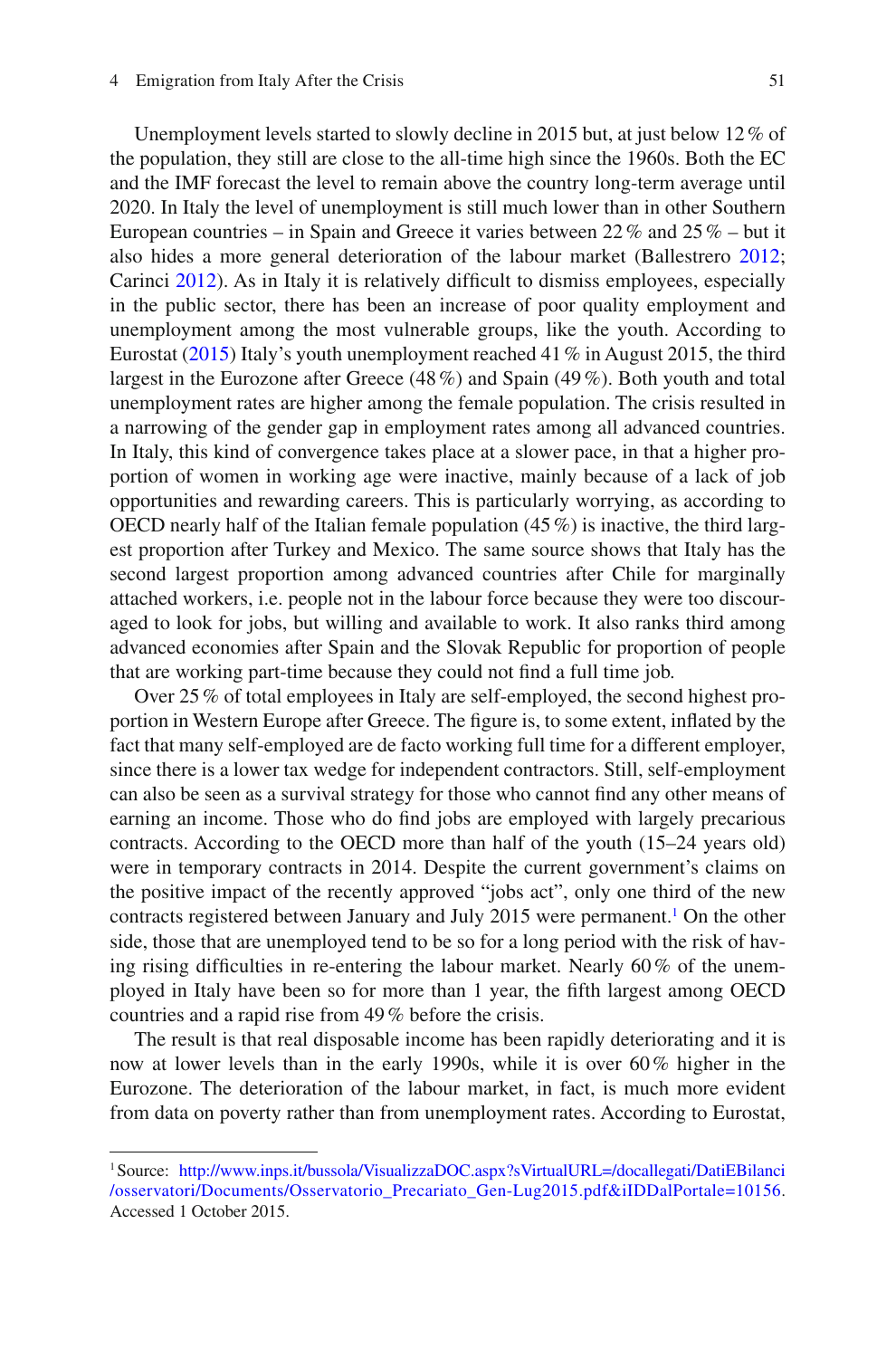Unemployment levels started to slowly decline in 2015 but, at just below 12 % of the population, they still are close to the all-time high since the 1960s. Both the EC and the IMF forecast the level to remain above the country long-term average until 2020. In Italy the level of unemployment is still much lower than in other Southern European countries – in Spain and Greece it varies between  $22\%$  and  $25\%$  – but it also hides a more general deterioration of the labour market (Ballestrero [2012 ;](#page-14-0) Carinci  $2012$ ). As in Italy it is relatively difficult to dismiss employees, especially in the public sector, there has been an increase of poor quality employment and unemployment among the most vulnerable groups, like the youth. According to Eurostat (2015) Italy's youth unemployment reached 41  $\%$  in August 2015, the third largest in the Eurozone after Greece (48 %) and Spain (49 %). Both youth and total unemployment rates are higher among the female population. The crisis resulted in a narrowing of the gender gap in employment rates among all advanced countries. In Italy, this kind of convergence takes place at a slower pace, in that a higher proportion of women in working age were inactive, mainly because of a lack of job opportunities and rewarding careers. This is particularly worrying, as according to OECD nearly half of the Italian female population (45 %) is inactive, the third largest proportion after Turkey and Mexico. The same source shows that Italy has the second largest proportion among advanced countries after Chile for marginally attached workers, i.e. people not in the labour force because they were too discouraged to look for jobs, but willing and available to work. It also ranks third among advanced economies after Spain and the Slovak Republic for proportion of people that are working part-time because they could not find a full time job.

 Over 25 % of total employees in Italy are self-employed, the second highest proportion in Western Europe after Greece. The figure is, to some extent, inflated by the fact that many self-employed are de facto working full time for a different employer, since there is a lower tax wedge for independent contractors. Still, self-employment can also be seen as a survival strategy for those who cannot find any other means of earning an income. Those who do find jobs are employed with largely precarious contracts. According to the OECD more than half of the youth (15–24 years old) were in temporary contracts in 2014. Despite the current government's claims on the positive impact of the recently approved "jobs act", only one third of the new contracts registered between January and July 2015 were permanent.<sup>1</sup> On the other side, those that are unemployed tend to be so for a long period with the risk of having rising difficulties in re-entering the labour market. Nearly  $60\%$  of the unemployed in Italy have been so for more than 1 year, the fifth largest among OECD countries and a rapid rise from 49 % before the crisis.

 The result is that real disposable income has been rapidly deteriorating and it is now at lower levels than in the early 1990s, while it is over 60 % higher in the Eurozone. The deterioration of the labour market, in fact, is much more evident from data on poverty rather than from unemployment rates. According to Eurostat,

<sup>1</sup> Source: [http://www.inps.it/bussola/VisualizzaDOC.aspx?sVirtualURL=/docallegati/DatiEBilanci](http://www.inps.it/bussola/VisualizzaDOC.aspx?sVirtualURL=/docallegati/DatiEBilanci/osservatori/Documents/Osservatorio_Precariato_Gen-Lug2015.pdf&iIDDalPortale=10156) [/osservatori/Documents/Osservatorio\\_Precariato\\_Gen-Lug2015.pdf&iIDDalPortale=10156](http://www.inps.it/bussola/VisualizzaDOC.aspx?sVirtualURL=/docallegati/DatiEBilanci/osservatori/Documents/Osservatorio_Precariato_Gen-Lug2015.pdf&iIDDalPortale=10156) . Accessed 1 October 2015.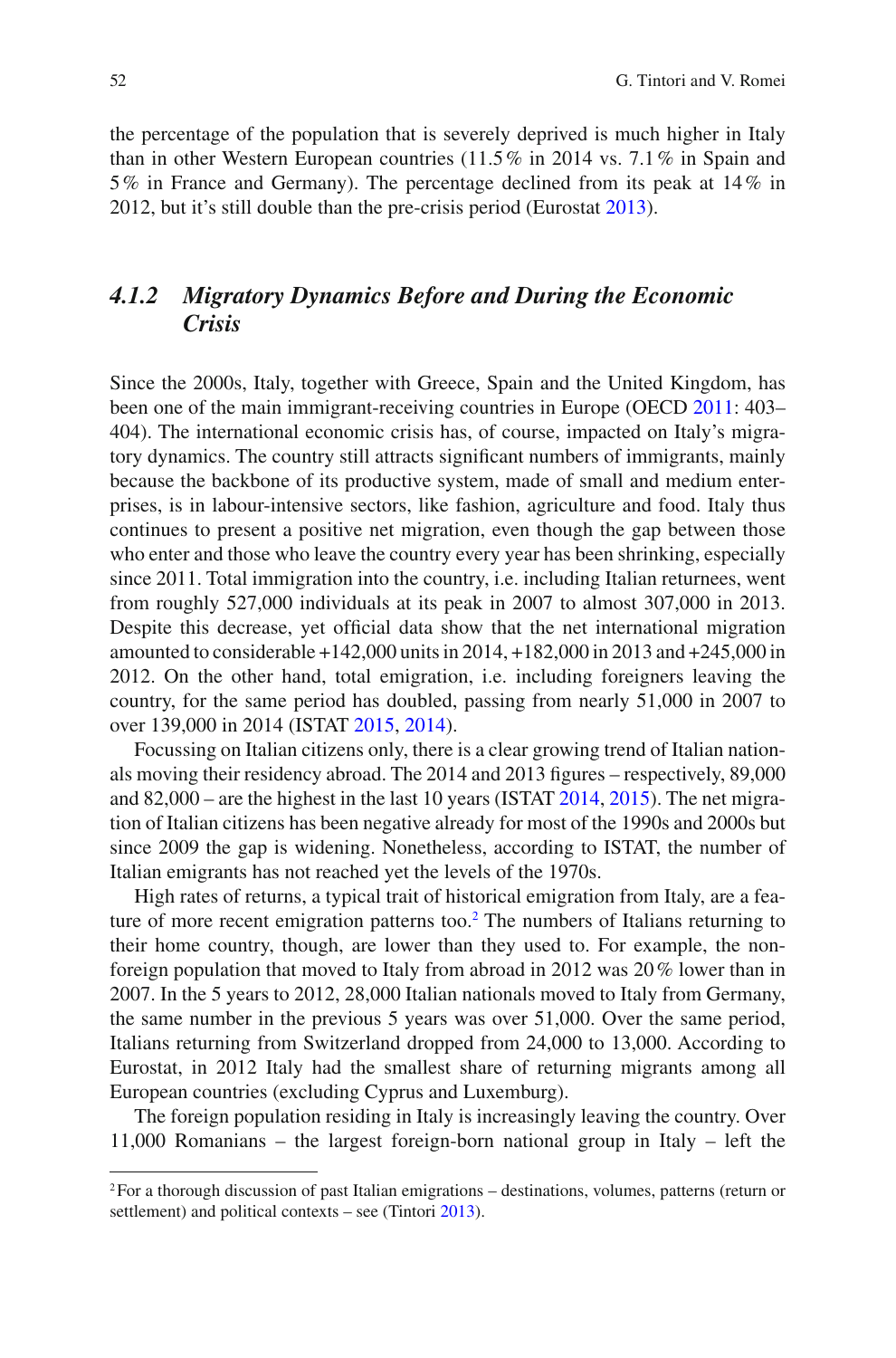the percentage of the population that is severely deprived is much higher in Italy than in other Western European countries (11.5 % in 2014 vs. 7.1 % in Spain and 5 % in France and Germany). The percentage declined from its peak at 14 % in 2012, but it's still double than the pre-crisis period (Eurostat [2013](#page-14-0) ).

## *4.1.2 Migratory Dynamics Before and During the Economic Crisis*

 Since the 2000s, Italy, together with Greece, Spain and the United Kingdom, has been one of the main immigrant-receiving countries in Europe (OECD [2011](#page-15-0): 403– 404). The international economic crisis has, of course, impacted on Italy's migratory dynamics. The country still attracts significant numbers of immigrants, mainly because the backbone of its productive system, made of small and medium enterprises, is in labour-intensive sectors, like fashion, agriculture and food. Italy thus continues to present a positive net migration, even though the gap between those who enter and those who leave the country every year has been shrinking, especially since 2011. Total immigration into the country, i.e. including Italian returnees, went from roughly 527,000 individuals at its peak in 2007 to almost 307,000 in 2013. Despite this decrease, yet official data show that the net international migration amounted to considerable +142,000 units in 2014, +182,000 in 2013 and +245,000 in 2012. On the other hand, total emigration, i.e. including foreigners leaving the country, for the same period has doubled, passing from nearly 51,000 in 2007 to over 139,000 in 2014 (ISTAT 2015, 2014).

 Focussing on Italian citizens only, there is a clear growing trend of Italian nationals moving their residency abroad. The 2014 and 2013 figures – respectively, 89,000 and  $82,000$  – are the highest in the last 10 years (ISTAT [2014](#page-15-0), [2015](#page-15-0)). The net migration of Italian citizens has been negative already for most of the 1990s and 2000s but since 2009 the gap is widening. Nonetheless, according to ISTAT, the number of Italian emigrants has not reached yet the levels of the 1970s.

 High rates of returns, a typical trait of historical emigration from Italy, are a feature of more recent emigration patterns too.<sup>2</sup> The numbers of Italians returning to their home country, though, are lower than they used to. For example, the nonforeign population that moved to Italy from abroad in 2012 was 20 % lower than in 2007. In the 5 years to 2012, 28,000 Italian nationals moved to Italy from Germany, the same number in the previous 5 years was over 51,000. Over the same period, Italians returning from Switzerland dropped from 24,000 to 13,000. According to Eurostat, in 2012 Italy had the smallest share of returning migrants among all European countries (excluding Cyprus and Luxemburg).

 The foreign population residing in Italy is increasingly leaving the country. Over 11,000 Romanians – the largest foreign-born national group in Italy – left the

<sup>2</sup> For a thorough discussion of past Italian emigrations – destinations, volumes, patterns (return or settlement) and political contexts – see (Tintori [2013](#page-15-0)).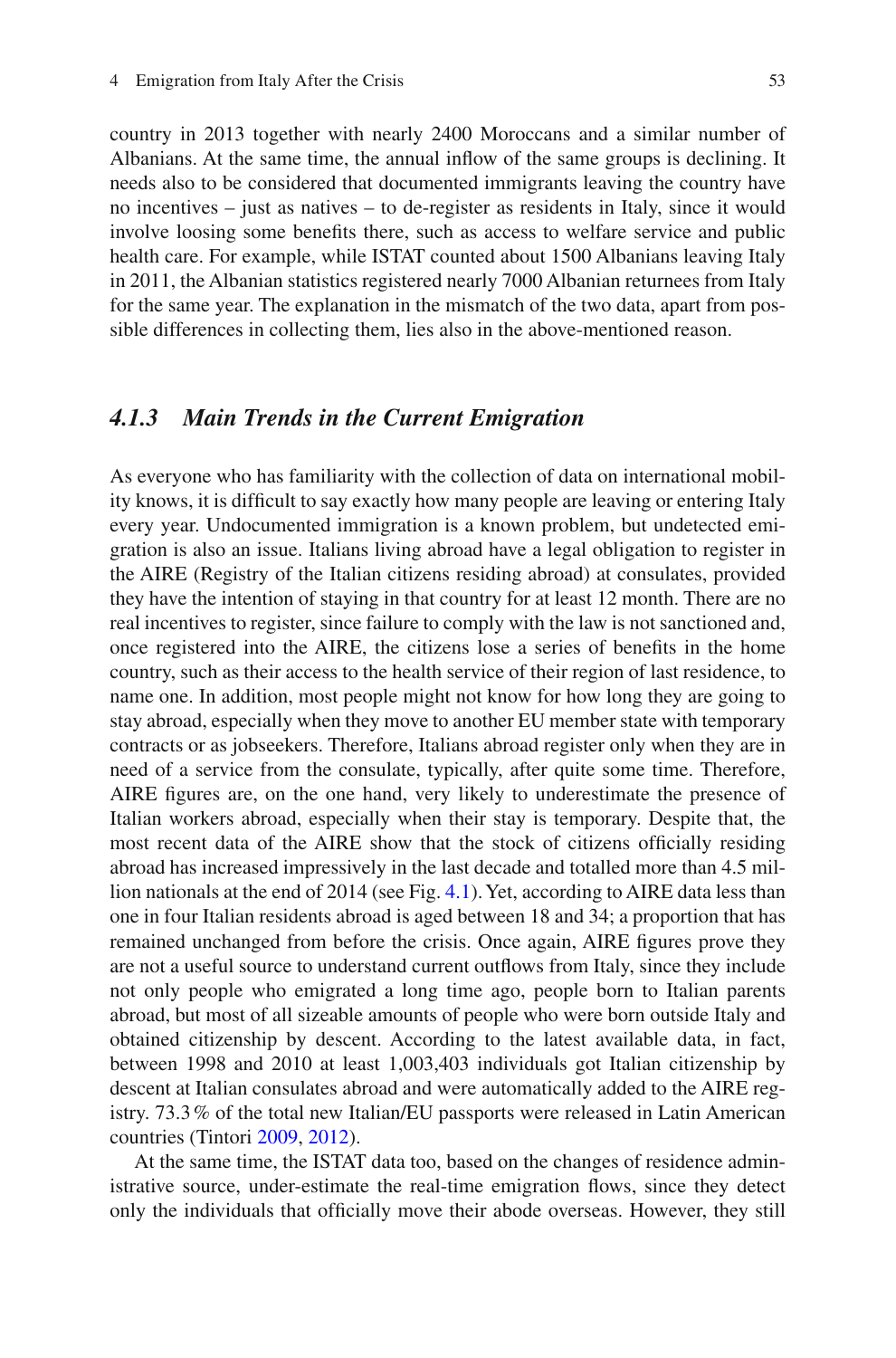country in 2013 together with nearly 2400 Moroccans and a similar number of Albanians. At the same time, the annual inflow of the same groups is declining. It needs also to be considered that documented immigrants leaving the country have no incentives – just as natives – to de-register as residents in Italy, since it would involve loosing some benefits there, such as access to welfare service and public health care. For example, while ISTAT counted about 1500 Albanians leaving Italy in 2011, the Albanian statistics registered nearly 7000 Albanian returnees from Italy for the same year. The explanation in the mismatch of the two data, apart from possible differences in collecting them, lies also in the above-mentioned reason.

#### *4.1.3 Main Trends in the Current Emigration*

 As everyone who has familiarity with the collection of data on international mobility knows, it is difficult to say exactly how many people are leaving or entering Italy every year. Undocumented immigration is a known problem, but undetected emigration is also an issue. Italians living abroad have a legal obligation to register in the AIRE (Registry of the Italian citizens residing abroad) at consulates, provided they have the intention of staying in that country for at least 12 month. There are no real incentives to register, since failure to comply with the law is not sanctioned and, once registered into the AIRE, the citizens lose a series of benefits in the home country, such as their access to the health service of their region of last residence, to name one. In addition, most people might not know for how long they are going to stay abroad, especially when they move to another EU member state with temporary contracts or as jobseekers. Therefore, Italians abroad register only when they are in need of a service from the consulate, typically, after quite some time. Therefore, AIRE figures are, on the one hand, very likely to underestimate the presence of Italian workers abroad, especially when their stay is temporary. Despite that, the most recent data of the AIRE show that the stock of citizens officially residing abroad has increased impressively in the last decade and totalled more than 4.5 million nationals at the end of 2014 (see Fig. [4.1](#page-5-0) ). Yet, according to AIRE data less than one in four Italian residents abroad is aged between 18 and 34; a proportion that has remained unchanged from before the crisis. Once again, AIRE figures prove they are not a useful source to understand current outflows from Italy, since they include not only people who emigrated a long time ago, people born to Italian parents abroad, but most of all sizeable amounts of people who were born outside Italy and obtained citizenship by descent. According to the latest available data, in fact, between 1998 and 2010 at least 1,003,403 individuals got Italian citizenship by descent at Italian consulates abroad and were automatically added to the AIRE registry. 73.3 % of the total new Italian/EU passports were released in Latin American countries (Tintori [2009](#page-15-0), [2012](#page-15-0)).

 At the same time, the ISTAT data too, based on the changes of residence administrative source, under-estimate the real-time emigration flows, since they detect only the individuals that officially move their abode overseas. However, they still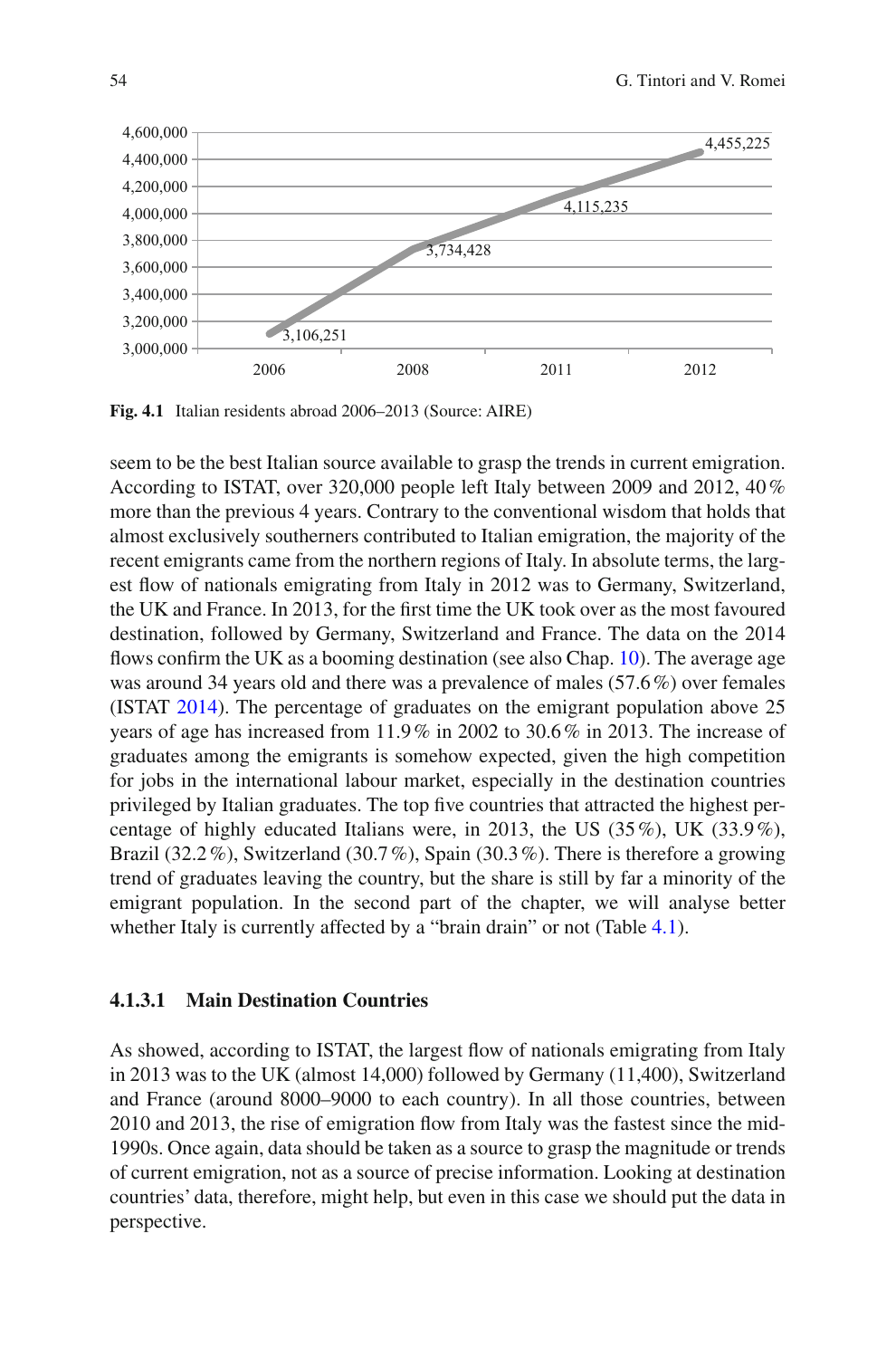<span id="page-5-0"></span>

 **Fig. 4.1** Italian residents abroad 2006–2013 (Source: AIRE)

seem to be the best Italian source available to grasp the trends in current emigration. According to ISTAT, over 320,000 people left Italy between 2009 and 2012, 40 % more than the previous 4 years. Contrary to the conventional wisdom that holds that almost exclusively southerners contributed to Italian emigration, the majority of the recent emigrants came from the northern regions of Italy. In absolute terms, the largest flow of nationals emigrating from Italy in 2012 was to Germany, Switzerland, the UK and France. In 2013, for the first time the UK took over as the most favoured destination, followed by Germany, Switzerland and France. The data on the 2014 flows confirm the UK as a booming destination (see also Chap.  $10$ ). The average age was around 34 years old and there was a prevalence of males (57.6 %) over females (ISTAT 2014). The percentage of graduates on the emigrant population above  $25$ years of age has increased from 11.9 % in 2002 to 30.6 % in 2013. The increase of graduates among the emigrants is somehow expected, given the high competition for jobs in the international labour market, especially in the destination countries privileged by Italian graduates. The top five countries that attracted the highest percentage of highly educated Italians were, in 2013, the US  $(35\%)$ , UK  $(33.9\%)$ , Brazil (32.2%), Switzerland (30.7%), Spain (30.3%). There is therefore a growing trend of graduates leaving the country, but the share is still by far a minority of the emigrant population. In the second part of the chapter, we will analyse better whether Italy is currently affected by a "brain drain" or not (Table [4.1](#page-6-0)).

#### **4.1.3.1 Main Destination Countries**

As showed, according to ISTAT, the largest flow of nationals emigrating from Italy in 2013 was to the UK (almost 14,000) followed by Germany (11,400), Switzerland and France (around 8000–9000 to each country). In all those countries, between 2010 and 2013, the rise of emigration flow from Italy was the fastest since the mid-1990s. Once again, data should be taken as a source to grasp the magnitude or trends of current emigration, not as a source of precise information. Looking at destination countries' data, therefore, might help, but even in this case we should put the data in perspective.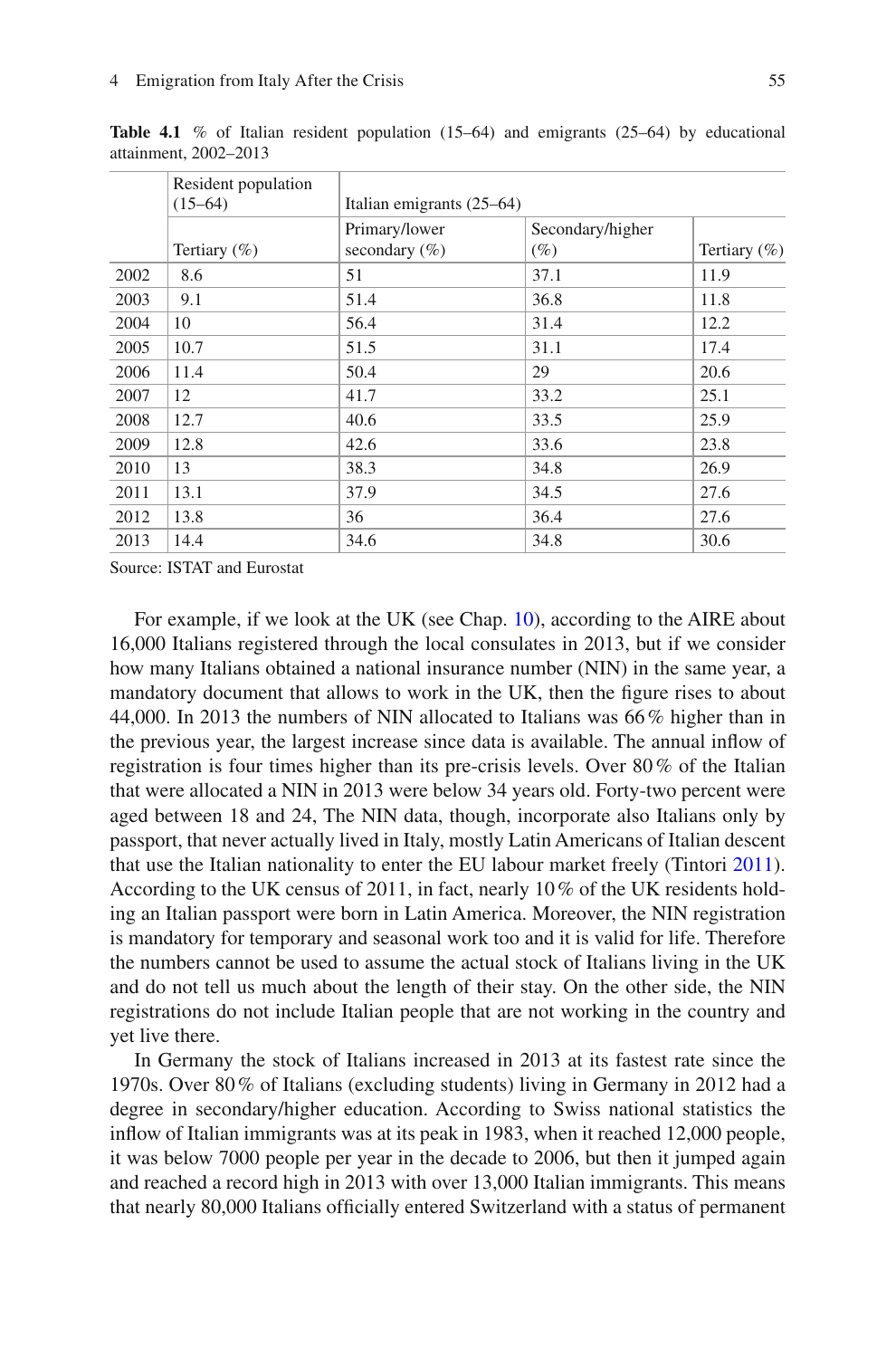|      | Resident population<br>$(15-64)$ | Italian emigrants $(25-64)$        |                            |                 |
|------|----------------------------------|------------------------------------|----------------------------|-----------------|
|      | Tertiary $(\% )$                 | Primary/lower<br>secondary $(\% )$ | Secondary/higher<br>$(\%)$ | Tertiary $(\%)$ |
| 2002 | 8.6                              | 51                                 | 37.1                       | 11.9            |
| 2003 | 9.1                              | 51.4                               | 36.8                       | 11.8            |
| 2004 | 10                               | 56.4                               | 31.4                       | 12.2            |
| 2005 | 10.7                             | 51.5                               | 31.1                       | 17.4            |
| 2006 | 11.4                             | 50.4                               | 29                         | 20.6            |
| 2007 | 12                               | 41.7                               | 33.2                       | 25.1            |
| 2008 | 12.7                             | 40.6                               | 33.5                       | 25.9            |
| 2009 | 12.8                             | 42.6                               | 33.6                       | 23.8            |
| 2010 | 13                               | 38.3                               | 34.8                       | 26.9            |
| 2011 | 13.1                             | 37.9                               | 34.5                       | 27.6            |
| 2012 | 13.8                             | 36                                 | 36.4                       | 27.6            |
| 2013 | 14.4                             | 34.6                               | 34.8                       | 30.6            |

<span id="page-6-0"></span> **Table 4.1** % of Italian resident population (15–64) and emigrants (25–64) by educational attainment, 2002–2013

Source: ISTAT and Eurostat

 For example, if we look at the UK (see Chap. [10\)](http://dx.doi.org/10.1007/978-3-319-39763-4_10), according to the AIRE about 16,000 Italians registered through the local consulates in 2013, but if we consider how many Italians obtained a national insurance number (NIN) in the same year, a mandatory document that allows to work in the UK, then the figure rises to about 44,000. In 2013 the numbers of NIN allocated to Italians was 66 % higher than in the previous year, the largest increase since data is available. The annual inflow of registration is four times higher than its pre-crisis levels. Over 80 % of the Italian that were allocated a NIN in 2013 were below 34 years old. Forty-two percent were aged between 18 and 24, The NIN data, though, incorporate also Italians only by passport, that never actually lived in Italy, mostly Latin Americans of Italian descent that use the Italian nationality to enter the EU labour market freely (Tintori [2011 \)](#page-15-0). According to the UK census of 2011, in fact, nearly 10 % of the UK residents holding an Italian passport were born in Latin America. Moreover, the NIN registration is mandatory for temporary and seasonal work too and it is valid for life. Therefore the numbers cannot be used to assume the actual stock of Italians living in the UK and do not tell us much about the length of their stay. On the other side, the NIN registrations do not include Italian people that are not working in the country and yet live there.

 In Germany the stock of Italians increased in 2013 at its fastest rate since the 1970s. Over 80 % of Italians (excluding students) living in Germany in 2012 had a degree in secondary/higher education. According to Swiss national statistics the inflow of Italian immigrants was at its peak in 1983, when it reached 12,000 people, it was below 7000 people per year in the decade to 2006, but then it jumped again and reached a record high in 2013 with over 13,000 Italian immigrants. This means that nearly 80,000 Italians officially entered Switzerland with a status of permanent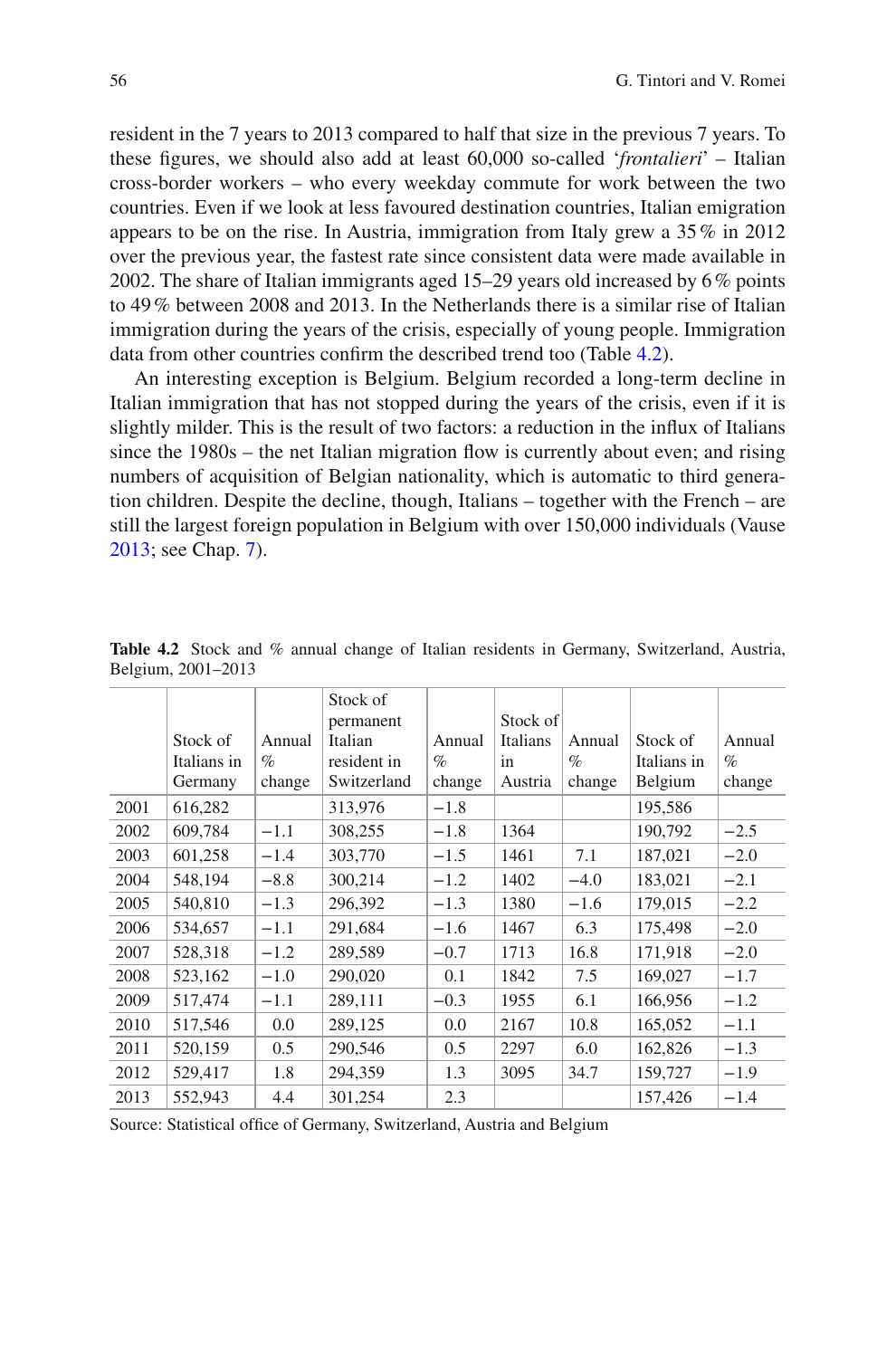resident in the 7 years to 2013 compared to half that size in the previous 7 years. To these figures, we should also add at least  $60,000$  so-called *'frontalieri'* – Italian cross-border workers – who every weekday commute for work between the two countries. Even if we look at less favoured destination countries, Italian emigration appears to be on the rise. In Austria, immigration from Italy grew a 35 % in 2012 over the previous year, the fastest rate since consistent data were made available in 2002. The share of Italian immigrants aged 15–29 years old increased by 6 % points to 49 % between 2008 and 2013. In the Netherlands there is a similar rise of Italian immigration during the years of the crisis, especially of young people. Immigration data from other countries confirm the described trend too (Table 4.2).

 An interesting exception is Belgium. Belgium recorded a long-term decline in Italian immigration that has not stopped during the years of the crisis, even if it is slightly milder. This is the result of two factors: a reduction in the influx of Italians since the  $1980s$  – the net Italian migration flow is currently about even; and rising numbers of acquisition of Belgian nationality, which is automatic to third generation children. Despite the decline, though, Italians – together with the French – are still the largest foreign population in Belgium with over 150,000 individuals (Vause 2013; see Chap. [7\)](http://dx.doi.org/10.1007/978-3-319-39763-4_7).

|      |             |        | Stock of<br>permanent |        | Stock of |        |             |        |
|------|-------------|--------|-----------------------|--------|----------|--------|-------------|--------|
|      | Stock of    | Annual | Italian               | Annual | Italians | Annual | Stock of    | Annual |
|      | Italians in | $\%$   | resident in           | $\%$   | in       | $\%$   | Italians in | $\%$   |
|      | Germany     | change | Switzerland           | change | Austria  | change | Belgium     | change |
| 2001 | 616,282     |        | 313,976               | $-1.8$ |          |        | 195,586     |        |
| 2002 | 609,784     | $-1.1$ | 308,255               | $-1.8$ | 1364     |        | 190,792     | $-2.5$ |
| 2003 | 601,258     | $-1.4$ | 303,770               | $-1.5$ | 1461     | 7.1    | 187,021     | $-2.0$ |
| 2004 | 548,194     | $-8.8$ | 300,214               | $-1.2$ | 1402     | $-4.0$ | 183,021     | $-2.1$ |
| 2005 | 540,810     | $-1.3$ | 296,392               | $-1.3$ | 1380     | $-1.6$ | 179,015     | $-2.2$ |
| 2006 | 534,657     | $-1.1$ | 291,684               | $-1.6$ | 1467     | 6.3    | 175,498     | $-2.0$ |
| 2007 | 528,318     | $-1.2$ | 289,589               | $-0.7$ | 1713     | 16.8   | 171,918     | $-2.0$ |
| 2008 | 523,162     | $-1.0$ | 290,020               | 0.1    | 1842     | 7.5    | 169,027     | $-1.7$ |
| 2009 | 517,474     | $-1.1$ | 289,111               | $-0.3$ | 1955     | 6.1    | 166,956     | $-1.2$ |
| 2010 | 517,546     | 0.0    | 289,125               | 0.0    | 2167     | 10.8   | 165,052     | $-1.1$ |
| 2011 | 520,159     | 0.5    | 290,546               | 0.5    | 2297     | 6.0    | 162,826     | $-1.3$ |
| 2012 | 529,417     | 1.8    | 294,359               | 1.3    | 3095     | 34.7   | 159,727     | $-1.9$ |
| 2013 | 552,943     | 4.4    | 301.254               | 2.3    |          |        | 157,426     | $-1.4$ |

 **Table 4.2** Stock and % annual change of Italian residents in Germany, Switzerland, Austria, Belgium, 2001–2013

Source: Statistical office of Germany, Switzerland, Austria and Belgium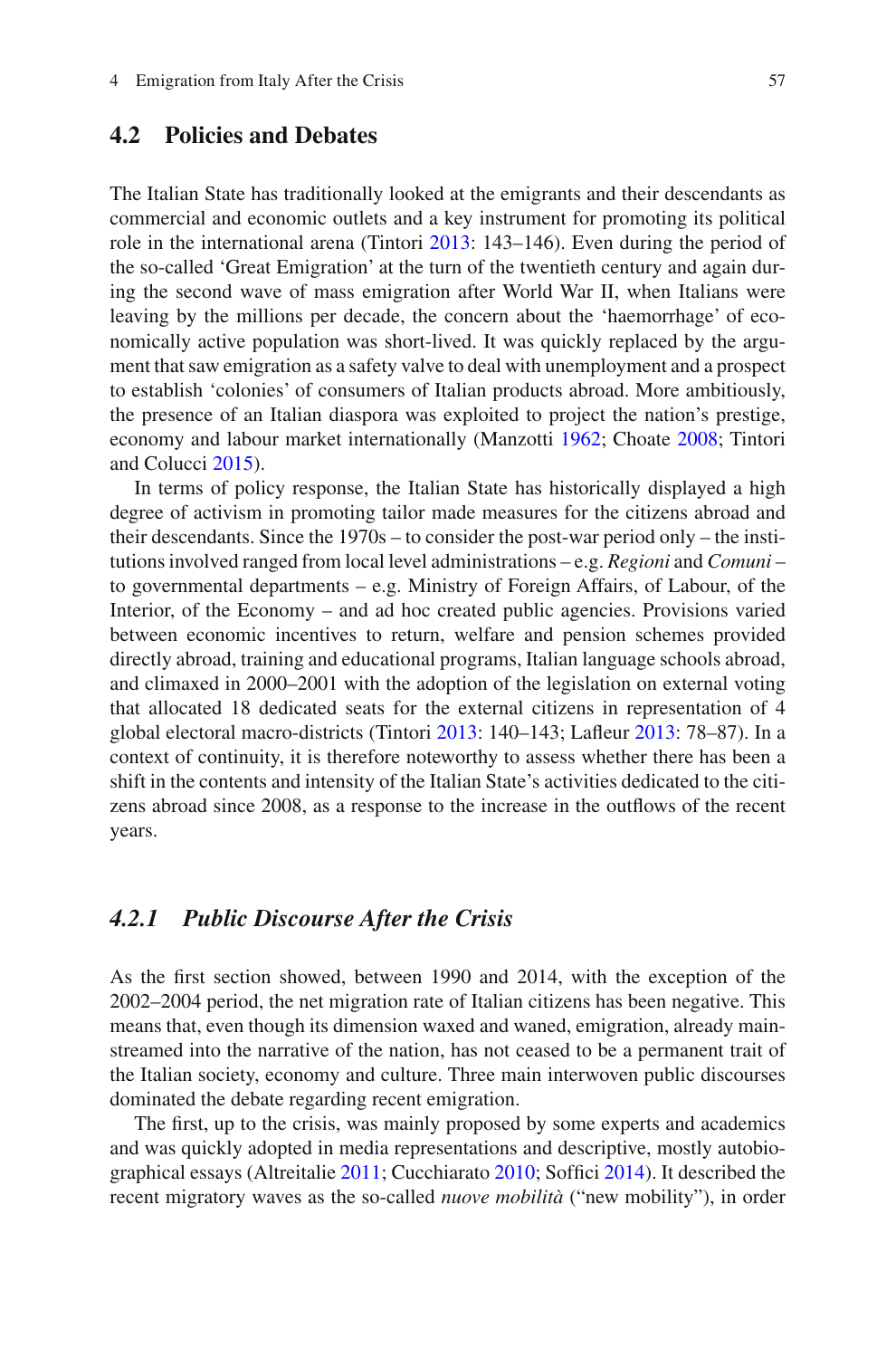### **4.2 Policies and Debates**

 The Italian State has traditionally looked at the emigrants and their descendants as commercial and economic outlets and a key instrument for promoting its political role in the international arena (Tintori 2013: 143–146). Even during the period of the so-called 'Great Emigration' at the turn of the twentieth century and again during the second wave of mass emigration after World War II, when Italians were leaving by the millions per decade, the concern about the 'haemorrhage' of economically active population was short-lived. It was quickly replaced by the argument that saw emigration as a safety valve to deal with unemployment and a prospect to establish 'colonies' of consumers of Italian products abroad. More ambitiously, the presence of an Italian diaspora was exploited to project the nation's prestige, economy and labour market internationally (Manzotti 1962; Choate [2008](#page-14-0); Tintori and Colucci [2015](#page-15-0)).

 In terms of policy response, the Italian State has historically displayed a high degree of activism in promoting tailor made measures for the citizens abroad and their descendants. Since the 1970s – to consider the post-war period only – the institutions involved ranged from local level administrations – e.g. *Regioni* and *Comuni* – to governmental departments – e.g. Ministry of Foreign Affairs, of Labour, of the Interior, of the Economy – and ad hoc created public agencies. Provisions varied between economic incentives to return, welfare and pension schemes provided directly abroad, training and educational programs, Italian language schools abroad, and climaxed in 2000–2001 with the adoption of the legislation on external voting that allocated 18 dedicated seats for the external citizens in representation of 4 global electoral macro-districts (Tintori [2013](#page-15-0):  $140-143$ ; Lafleur 2013: 78–87). In a context of continuity, it is therefore noteworthy to assess whether there has been a shift in the contents and intensity of the Italian State's activities dedicated to the citizens abroad since 2008, as a response to the increase in the outflows of the recent years.

#### *4.2.1 Public Discourse After the Crisis*

As the first section showed, between 1990 and 2014, with the exception of the 2002–2004 period, the net migration rate of Italian citizens has been negative. This means that, even though its dimension waxed and waned, emigration, already mainstreamed into the narrative of the nation, has not ceased to be a permanent trait of the Italian society, economy and culture. Three main interwoven public discourses dominated the debate regarding recent emigration.

The first, up to the crisis, was mainly proposed by some experts and academics and was quickly adopted in media representations and descriptive, mostly autobio-graphical essays (Altreitalie [2011](#page-14-0); Cucchiarato 2010; Soffici [2014](#page-15-0)). It described the recent migratory waves as the so-called *nuove mobilità* ("new mobility"), in order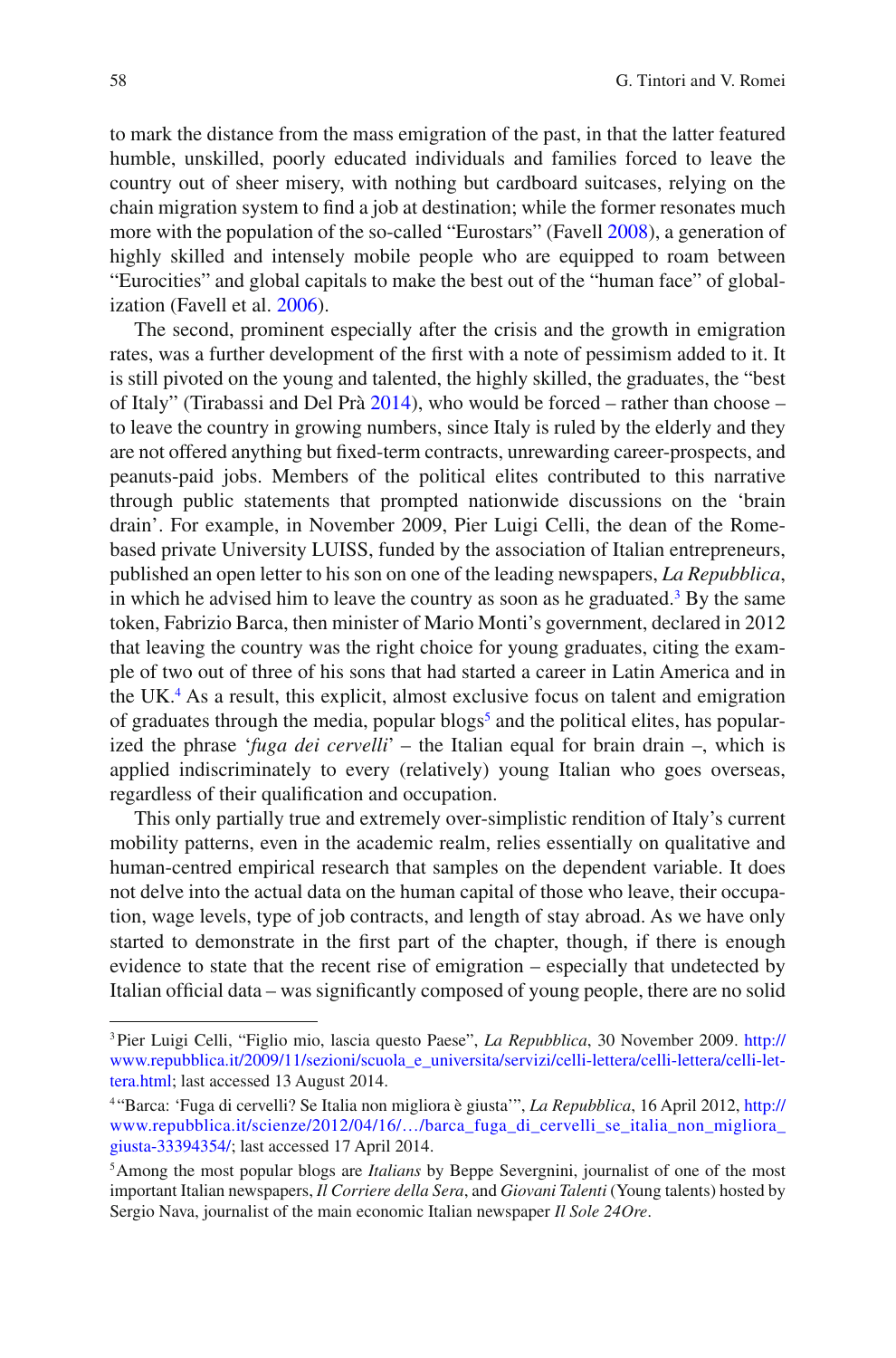to mark the distance from the mass emigration of the past, in that the latter featured humble, unskilled, poorly educated individuals and families forced to leave the country out of sheer misery, with nothing but cardboard suitcases, relying on the chain migration system to find a job at destination; while the former resonates much more with the population of the so-called "Eurostars" (Favell [2008](#page-14-0)), a generation of highly skilled and intensely mobile people who are equipped to roam between "Eurocities" and global capitals to make the best out of the "human face" of globalization (Favell et al. 2006).

 The second, prominent especially after the crisis and the growth in emigration rates, was a further development of the first with a note of pessimism added to it. It is still pivoted on the young and talented, the highly skilled, the graduates, the "best of Italy" (Tirabassi and Del Prà 2014), who would be forced – rather than choose – to leave the country in growing numbers, since Italy is ruled by the elderly and they are not offered anything but fixed-term contracts, unrewarding career-prospects, and peanuts-paid jobs. Members of the political elites contributed to this narrative through public statements that prompted nationwide discussions on the 'brain drain'. For example, in November 2009, Pier Luigi Celli, the dean of the Romebased private University LUISS, funded by the association of Italian entrepreneurs, published an open letter to his son on one of the leading newspapers, *La Repubblica* , in which he advised him to leave the country as soon as he graduated.<sup>3</sup> By the same token, Fabrizio Barca, then minister of Mario Monti's government, declared in 2012 that leaving the country was the right choice for young graduates, citing the example of two out of three of his sons that had started a career in Latin America and in the UK.<sup>4</sup> As a result, this explicit, almost exclusive focus on talent and emigration of graduates through the media, popular blogs<sup>5</sup> and the political elites, has popularized the phrase 'fuga dei cervelli' – the Italian equal for brain drain –, which is applied indiscriminately to every (relatively) young Italian who goes overseas, regardless of their qualification and occupation.

 This only partially true and extremely over-simplistic rendition of Italy's current mobility patterns, even in the academic realm, relies essentially on qualitative and human-centred empirical research that samples on the dependent variable. It does not delve into the actual data on the human capital of those who leave, their occupation, wage levels, type of job contracts, and length of stay abroad. As we have only started to demonstrate in the first part of the chapter, though, if there is enough evidence to state that the recent rise of emigration – especially that undetected by Italian official data – was significantly composed of young people, there are no solid

<sup>3</sup> Pier Luigi Celli, "Figlio mio, lascia questo Paese", *La Repubblica* , 30 November 2009. [http://](http://www.repubblica.it/2009/11/sezioni/scuola_e_universita/servizi/celli-lettera/celli-lettera/celli-lettera.html) [www.repubblica.it/2009/11/sezioni/scuola\\_e\\_universita/servizi/celli-lettera/celli-lettera/celli-let](http://www.repubblica.it/2009/11/sezioni/scuola_e_universita/servizi/celli-lettera/celli-lettera/celli-lettera.html)[tera.html](http://www.repubblica.it/2009/11/sezioni/scuola_e_universita/servizi/celli-lettera/celli-lettera/celli-lettera.html); last accessed 13 August 2014.

<sup>4</sup> "Barca: 'Fuga di cervelli? Se Italia non migliora è giusta'", *La Repubblica* , 16 April 2012, [http://](http://www.repubblica.it/scienze/2012/04/16/%E2%80%A6/barca_fuga_di_cervelli_se_italia_non_migliora_giusta%E2%80%9033394354/) [www.repubblica.it/scienze/2012/04/16/…/barca\\_fuga\\_di\\_cervelli\\_se\\_italia\\_non\\_migliora\\_](http://www.repubblica.it/scienze/2012/04/16/%E2%80%A6/barca_fuga_di_cervelli_se_italia_non_migliora_giusta%E2%80%9033394354/) giusta‐[33394354/](http://www.repubblica.it/scienze/2012/04/16/%E2%80%A6/barca_fuga_di_cervelli_se_italia_non_migliora_giusta%E2%80%9033394354/) ; last accessed 17 April 2014.

<sup>5</sup> Among the most popular blogs are *Italians* by Beppe Severgnini, journalist of one of the most important Italian newspapers, *Il Corriere della Sera* , and *Giovani Talenti* (Young talents) hosted by Sergio Nava, journalist of the main economic Italian newspaper *Il Sole 24Ore* .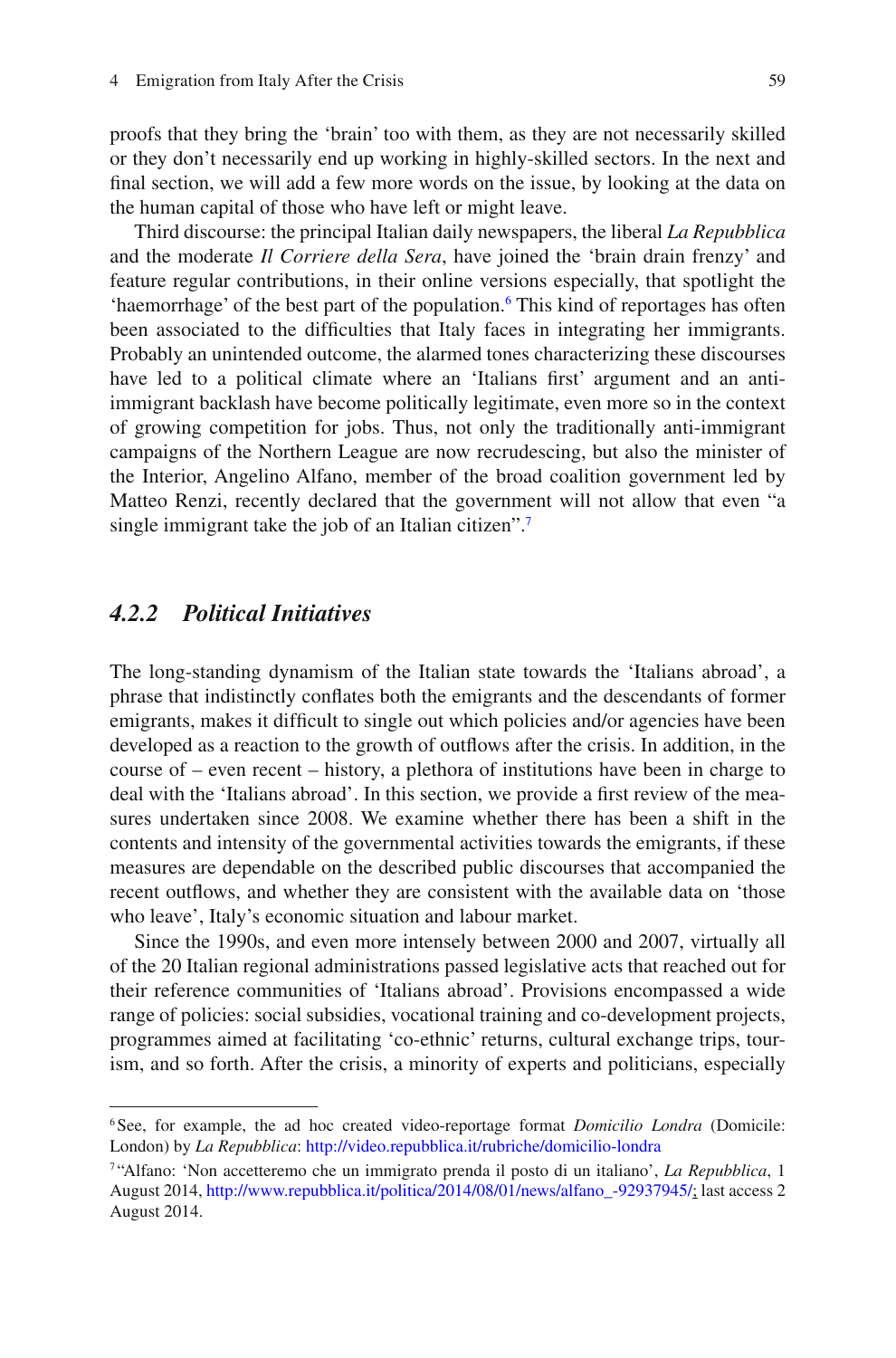proofs that they bring the 'brain' too with them, as they are not necessarily skilled or they don't necessarily end up working in highly-skilled sectors. In the next and final section, we will add a few more words on the issue, by looking at the data on the human capital of those who have left or might leave.

 Third discourse: the principal Italian daily newspapers, the liberal *La Repubblica* and the moderate *Il Corriere della Sera* , have joined the 'brain drain frenzy' and feature regular contributions, in their online versions especially, that spotlight the 'haemorrhage' of the best part of the population.<sup>6</sup> This kind of reportages has often been associated to the difficulties that Italy faces in integrating her immigrants. Probably an unintended outcome, the alarmed tones characterizing these discourses have led to a political climate where an 'Italians first' argument and an antiimmigrant backlash have become politically legitimate, even more so in the context of growing competition for jobs. Thus, not only the traditionally anti-immigrant campaigns of the Northern League are now recrudescing, but also the minister of the Interior, Angelino Alfano, member of the broad coalition government led by Matteo Renzi, recently declared that the government will not allow that even "a single immigrant take the job of an Italian citizen".<sup>7</sup>

## *4.2.2 Political Initiatives*

 The long-standing dynamism of the Italian state towards the 'Italians abroad', a phrase that indistinctly conflates both the emigrants and the descendants of former emigrants, makes it difficult to single out which policies and/or agencies have been developed as a reaction to the growth of outflows after the crisis. In addition, in the course of – even recent – history, a plethora of institutions have been in charge to deal with the 'Italians abroad'. In this section, we provide a first review of the measures undertaken since 2008. We examine whether there has been a shift in the contents and intensity of the governmental activities towards the emigrants, if these measures are dependable on the described public discourses that accompanied the recent outflows, and whether they are consistent with the available data on 'those who leave', Italy's economic situation and labour market.

 Since the 1990s, and even more intensely between 2000 and 2007, virtually all of the 20 Italian regional administrations passed legislative acts that reached out for their reference communities of 'Italians abroad'. Provisions encompassed a wide range of policies: social subsidies, vocational training and co-development projects, programmes aimed at facilitating 'co-ethnic' returns, cultural exchange trips, tourism, and so forth. After the crisis, a minority of experts and politicians, especially

<sup>6</sup> See, for example, the ad hoc created video-reportage format *Domicilio Londra* (Domicile: London) by *La Repubblica* :<http://video.repubblica.it/rubriche/domicilio-londra>

<sup>7</sup> "Alfano: 'Non accetteremo che un immigrato prenda il posto di un italiano', *La Repubblica* , 1 August 2014, [http://www.repubblica.it/politica/2014/08/01/news/alfano\\_-92937945/ ;](http://www.repubblica.it/politica/2014/08/01/news/alfano_-92937945/) last access 2 August 2014.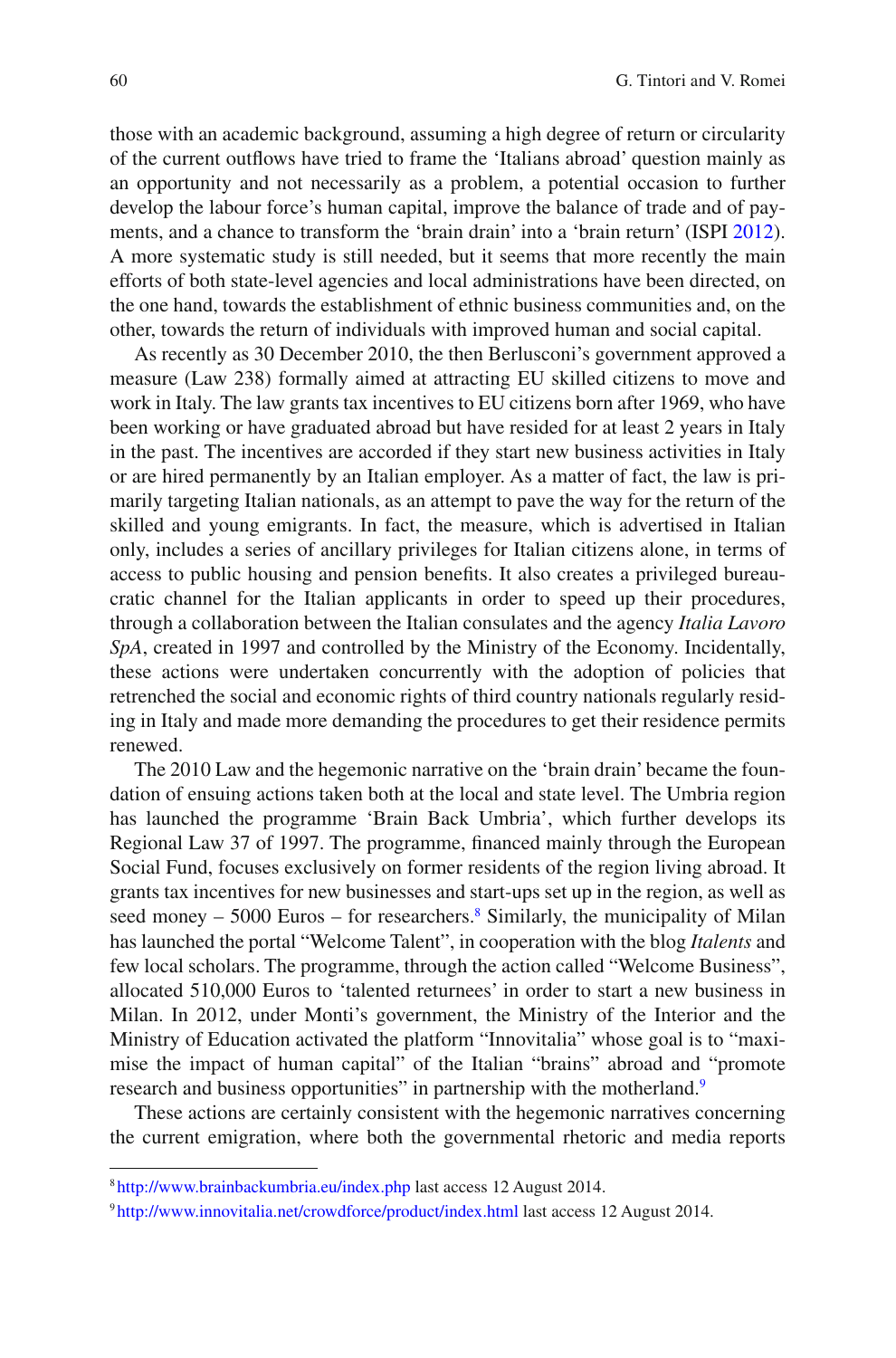those with an academic background, assuming a high degree of return or circularity of the current outflows have tried to frame the 'Italians abroad' question mainly as an opportunity and not necessarily as a problem, a potential occasion to further develop the labour force's human capital, improve the balance of trade and of payments, and a chance to transform the 'brain drain' into a 'brain return' (ISPI 2012). A more systematic study is still needed, but it seems that more recently the main efforts of both state-level agencies and local administrations have been directed, on the one hand, towards the establishment of ethnic business communities and, on the other, towards the return of individuals with improved human and social capital.

 As recently as 30 December 2010, the then Berlusconi's government approved a measure (Law 238) formally aimed at attracting EU skilled citizens to move and work in Italy. The law grants tax incentives to EU citizens born after 1969, who have been working or have graduated abroad but have resided for at least 2 years in Italy in the past. The incentives are accorded if they start new business activities in Italy or are hired permanently by an Italian employer. As a matter of fact, the law is primarily targeting Italian nationals, as an attempt to pave the way for the return of the skilled and young emigrants. In fact, the measure, which is advertised in Italian only, includes a series of ancillary privileges for Italian citizens alone, in terms of access to public housing and pension benefits. It also creates a privileged bureaucratic channel for the Italian applicants in order to speed up their procedures, through a collaboration between the Italian consulates and the agency *Italia Lavoro SpA* , created in 1997 and controlled by the Ministry of the Economy. Incidentally, these actions were undertaken concurrently with the adoption of policies that retrenched the social and economic rights of third country nationals regularly residing in Italy and made more demanding the procedures to get their residence permits renewed.

 The 2010 Law and the hegemonic narrative on the 'brain drain' became the foundation of ensuing actions taken both at the local and state level. The Umbria region has launched the programme 'Brain Back Umbria', which further develops its Regional Law 37 of 1997. The programme, financed mainly through the European Social Fund, focuses exclusively on former residents of the region living abroad. It grants tax incentives for new businesses and start-ups set up in the region, as well as seed money – 5000 Euros – for researchers.<sup>8</sup> Similarly, the municipality of Milan has launched the portal "Welcome Talent", in cooperation with the blog *Italents* and few local scholars. The programme, through the action called "Welcome Business", allocated 510,000 Euros to 'talented returnees' in order to start a new business in Milan. In 2012, under Monti's government, the Ministry of the Interior and the Ministry of Education activated the platform "Innovitalia" whose goal is to "maximise the impact of human capital" of the Italian "brains" abroad and "promote research and business opportunities" in partnership with the motherland.<sup>9</sup>

 These actions are certainly consistent with the hegemonic narratives concerning the current emigration, where both the governmental rhetoric and media reports

<sup>8</sup> <http://www.brainbackumbria.eu/index.php>last access 12 August 2014.

<sup>&</sup>lt;sup>9</sup>http://www.innovitalia.net/crowdforce/product/index.html last access 12 August 2014.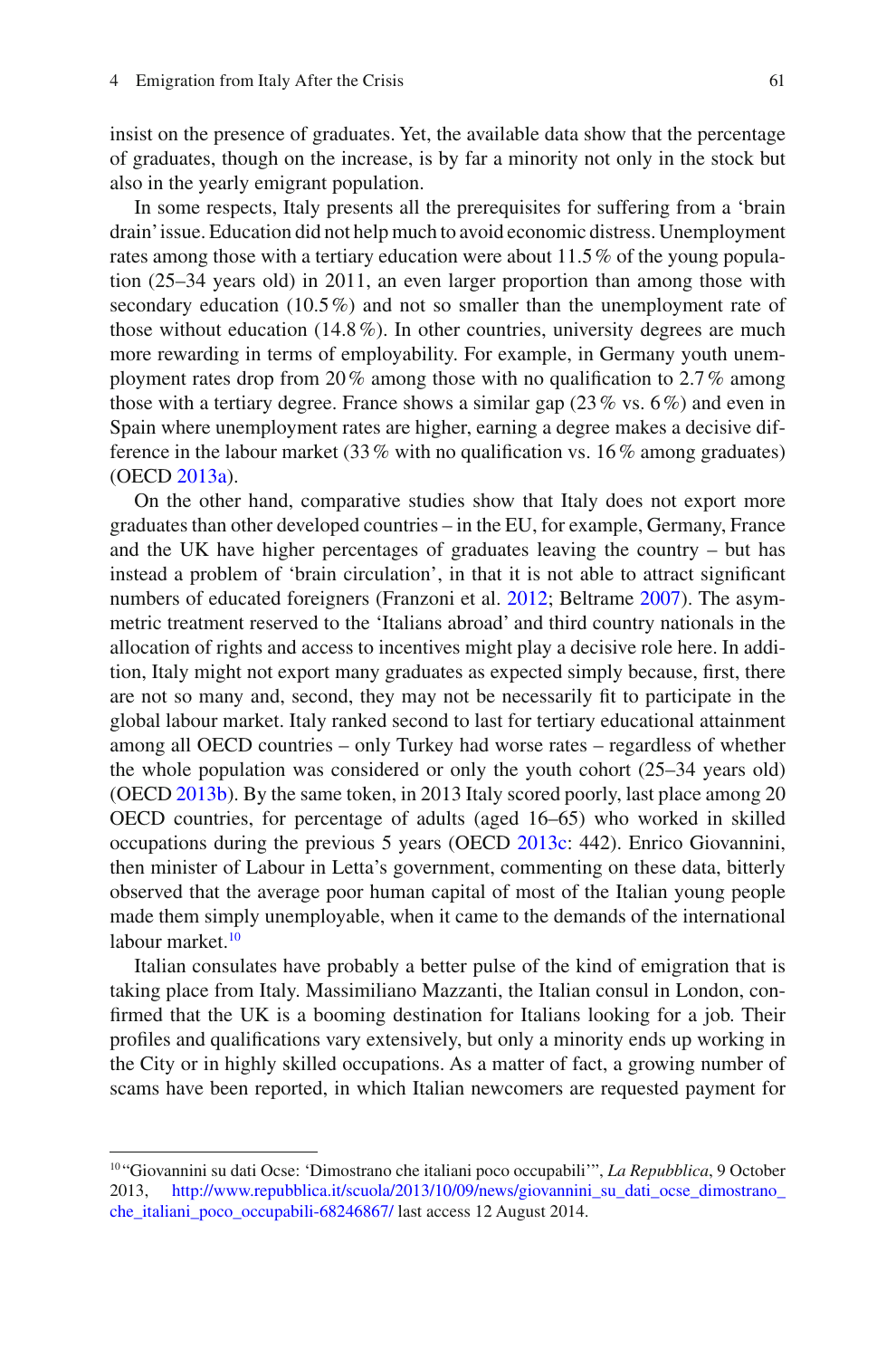insist on the presence of graduates. Yet, the available data show that the percentage of graduates, though on the increase, is by far a minority not only in the stock but also in the yearly emigrant population.

 In some respects, Italy presents all the prerequisites for suffering from a 'brain drain' issue. Education did not help much to avoid economic distress. Unemployment rates among those with a tertiary education were about 11.5 % of the young population (25–34 years old) in 2011, an even larger proportion than among those with secondary education (10.5 %) and not so smaller than the unemployment rate of those without education (14.8 %). In other countries, university degrees are much more rewarding in terms of employability. For example, in Germany youth unemployment rates drop from 20% among those with no qualification to 2.7% among those with a tertiary degree. France shows a similar gap  $(23\% \text{ vs. } 6\%)$  and even in Spain where unemployment rates are higher, earning a degree makes a decisive difference in the labour market (33% with no qualification vs.  $16\%$  among graduates) (OECD [2013a](#page-15-0)).

 On the other hand, comparative studies show that Italy does not export more graduates than other developed countries – in the EU, for example, Germany, France and the UK have higher percentages of graduates leaving the country – but has instead a problem of 'brain circulation', in that it is not able to attract significant numbers of educated foreigners (Franzoni et al. 2012; Beltrame [2007](#page-14-0)). The asymmetric treatment reserved to the 'Italians abroad' and third country nationals in the allocation of rights and access to incentives might play a decisive role here. In addition, Italy might not export many graduates as expected simply because, first, there are not so many and, second, they may not be necessarily fit to participate in the global labour market. Italy ranked second to last for tertiary educational attainment among all OECD countries – only Turkey had worse rates – regardless of whether the whole population was considered or only the youth cohort (25–34 years old) (OECD  $2013b$ ). By the same token, in 2013 Italy scored poorly, last place among 20 OECD countries, for percentage of adults (aged 16–65) who worked in skilled occupations during the previous 5 years (OECD [2013c](#page-15-0) : 442). Enrico Giovannini, then minister of Labour in Letta's government, commenting on these data, bitterly observed that the average poor human capital of most of the Italian young people made them simply unemployable, when it came to the demands of the international labour market.<sup>10</sup>

 Italian consulates have probably a better pulse of the kind of emigration that is taking place from Italy. Massimiliano Mazzanti, the Italian consul in London, confirmed that the UK is a booming destination for Italians looking for a job. Their profiles and qualifications vary extensively, but only a minority ends up working in the City or in highly skilled occupations. As a matter of fact, a growing number of scams have been reported, in which Italian newcomers are requested payment for

<sup>10 &</sup>quot;Giovannini su dati Ocse: 'Dimostrano che italiani poco occupabili'", *La Repubblica* , 9 October 2013, [http://www.repubblica.it/scuola/2013/10/09/news/giovannini\\_su\\_dati\\_ocse\\_dimostrano\\_](http://www.repubblica.it/scuola/2013/10/09/news/giovannini_su_dati_ocse_dimostrano_che_italiani_poco_occupabili-68246867/) [che\\_italiani\\_poco\\_occupabili-68246867/](http://www.repubblica.it/scuola/2013/10/09/news/giovannini_su_dati_ocse_dimostrano_che_italiani_poco_occupabili-68246867/) last access 12 August 2014.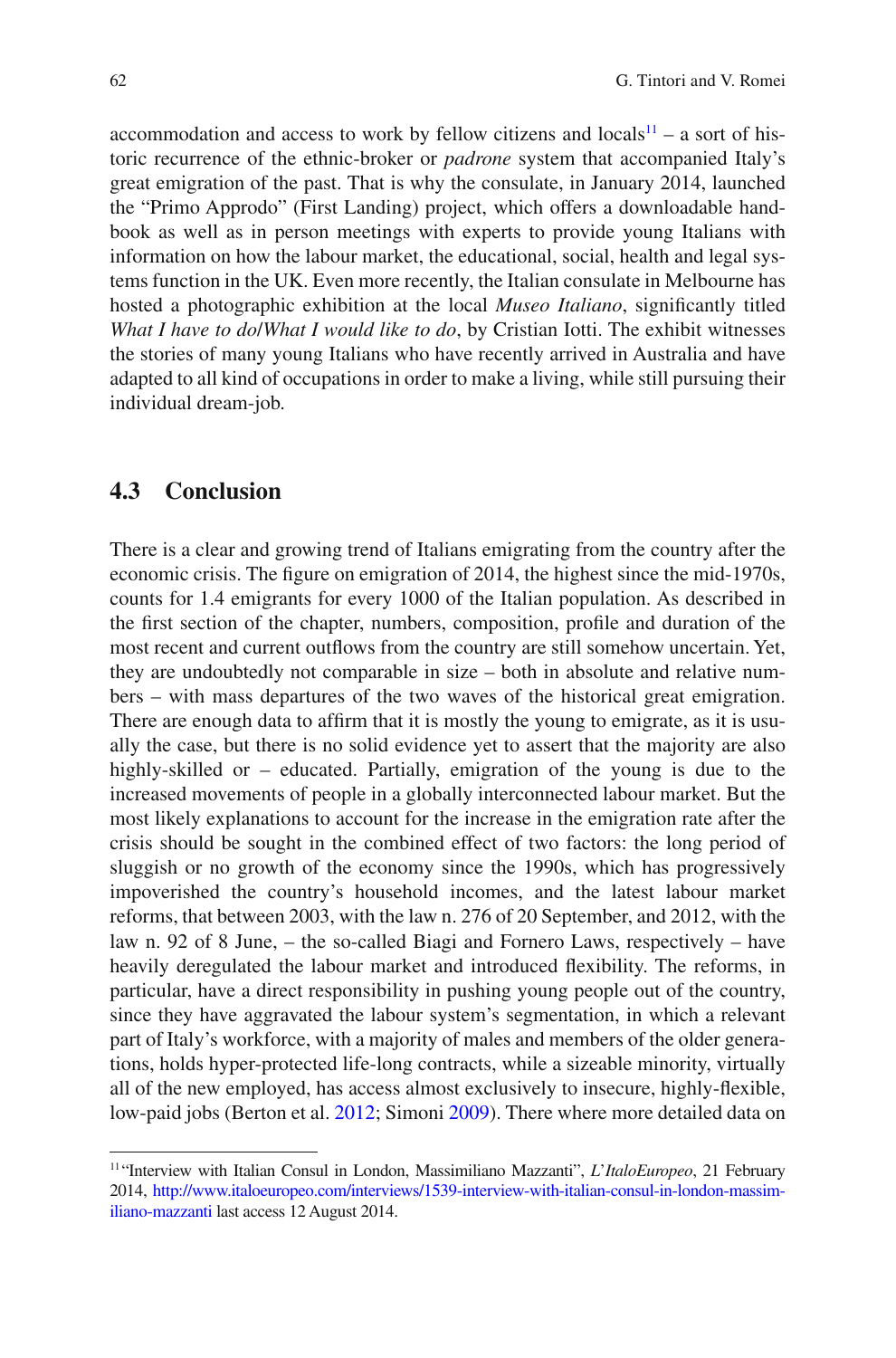accommodation and access to work by fellow citizens and locals $11 - a$  sort of historic recurrence of the ethnic-broker or *padrone* system that accompanied Italy's great emigration of the past. That is why the consulate, in January 2014, launched the "Primo Approdo" (First Landing) project, which offers a downloadable handbook as well as in person meetings with experts to provide young Italians with information on how the labour market, the educational, social, health and legal systems function in the UK. Even more recently, the Italian consulate in Melbourne has hosted a photographic exhibition at the local *Museo Italiano*, significantly titled *What I have to do/What I would like to do*, by Cristian Iotti. The exhibit witnesses the stories of many young Italians who have recently arrived in Australia and have adapted to all kind of occupations in order to make a living, while still pursuing their individual dream-job.

#### **4.3 Conclusion**

 There is a clear and growing trend of Italians emigrating from the country after the economic crisis. The figure on emigration of 2014, the highest since the mid-1970s, counts for 1.4 emigrants for every 1000 of the Italian population. As described in the first section of the chapter, numbers, composition, profile and duration of the most recent and current outflows from the country are still somehow uncertain. Yet, they are undoubtedly not comparable in size – both in absolute and relative numbers – with mass departures of the two waves of the historical great emigration. There are enough data to affirm that it is mostly the young to emigrate, as it is usually the case, but there is no solid evidence yet to assert that the majority are also highly-skilled or – educated. Partially, emigration of the young is due to the increased movements of people in a globally interconnected labour market. But the most likely explanations to account for the increase in the emigration rate after the crisis should be sought in the combined effect of two factors: the long period of sluggish or no growth of the economy since the 1990s, which has progressively impoverished the country's household incomes, and the latest labour market reforms, that between 2003, with the law n. 276 of 20 September, and 2012, with the law n. 92 of 8 June, – the so-called Biagi and Fornero Laws, respectively – have heavily deregulated the labour market and introduced flexibility. The reforms, in particular, have a direct responsibility in pushing young people out of the country, since they have aggravated the labour system's segmentation, in which a relevant part of Italy's workforce, with a majority of males and members of the older generations, holds hyper-protected life-long contracts, while a sizeable minority, virtually all of the new employed, has access almost exclusively to insecure, highly-flexible, low-paid jobs (Berton et al. [2012](#page-14-0); Simoni [2009](#page-15-0)). There where more detailed data on

<sup>11 &</sup>quot;Interview with Italian Consul in London, Massimiliano Mazzanti", *L* ' *ItaloEuropeo* , 21 February 2014, [http://www.italoeuropeo.com/interviews/1539-interview-with-italian-consul-in-london-massim](http://www.italoeuropeo.com/interviews/1539-interview-with-italian-consul-in-london-massimiliano-mazzanti)[iliano-mazzanti](http://www.italoeuropeo.com/interviews/1539-interview-with-italian-consul-in-london-massimiliano-mazzanti) last access 12 August 2014.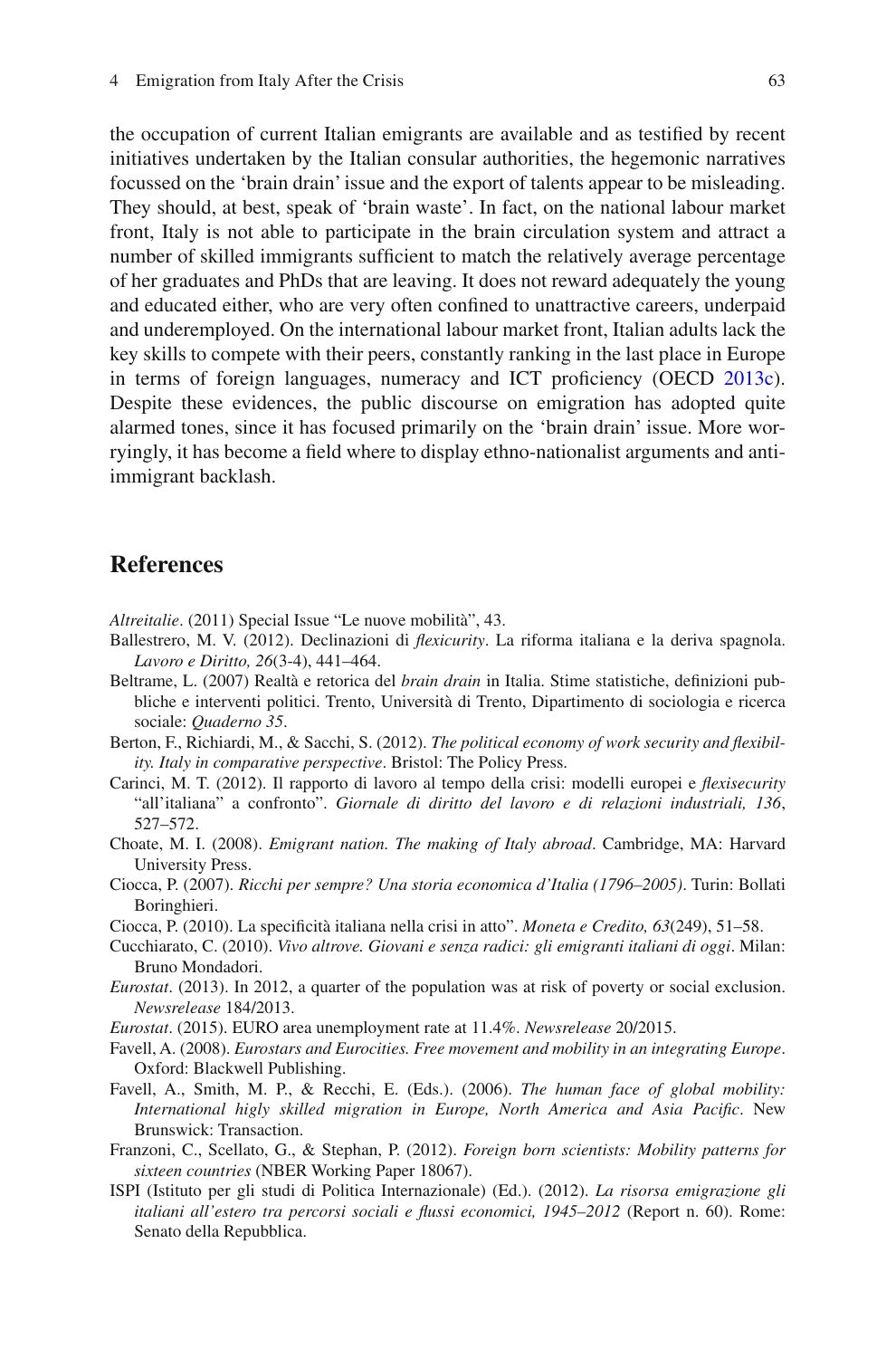<span id="page-14-0"></span>the occupation of current Italian emigrants are available and as testified by recent initiatives undertaken by the Italian consular authorities, the hegemonic narratives focussed on the 'brain drain' issue and the export of talents appear to be misleading. They should, at best, speak of 'brain waste'. In fact, on the national labour market front, Italy is not able to participate in the brain circulation system and attract a number of skilled immigrants sufficient to match the relatively average percentage of her graduates and PhDs that are leaving. It does not reward adequately the young and educated either, who are very often confined to unattractive careers, underpaid and underemployed. On the international labour market front, Italian adults lack the key skills to compete with their peers, constantly ranking in the last place in Europe in terms of foreign languages, numeracy and ICT proficiency (OECD 2013c). Despite these evidences, the public discourse on emigration has adopted quite alarmed tones, since it has focused primarily on the 'brain drain' issue. More worryingly, it has become a field where to display ethno-nationalist arguments and antiimmigrant backlash.

#### **References**

*Altreitalie* . (2011) Special Issue "Le nuove mobilità", 43.

- Ballestrero, M. V. (2012). Declinazioni di *flexicurity*. La riforma italiana e la deriva spagnola. *Lavoro e Diritto, 26* (3-4), 441–464.
- Beltrame, L. (2007) Realtà e retorica del *brain drain* in Italia. Stime statistiche, definizioni pubbliche e interventi politici. Trento, Università di Trento, Dipartimento di sociologia e ricerca sociale: *Quaderno 35* .
- Berton, F., Richiardi, M., & Sacchi, S. (2012). *The political economy of work security and flexibility. Italy in comparative perspective* . Bristol: The Policy Press.
- Carinci, M. T. (2012). Il rapporto di lavoro al tempo della crisi: modelli europei e *flexisecurity* "all'italiana" a confronto". *Giornale di diritto del lavoro e di relazioni industriali, 136* , 527–572.
- Choate, M. I. (2008). *Emigrant nation. The making of Italy abroad* . Cambridge, MA: Harvard University Press.
- Ciocca, P. (2007). *Ricchi per sempre? Una storia economica d'Italia (1796–2005)* . Turin: Bollati Boringhieri.
- Ciocca, P. (2010). La specificità italiana nella crisi in atto". *Moneta e Credito*, 63(249), 51–58.
- Cucchiarato, C. (2010). *Vivo altrove. Giovani e senza radici: gli emigranti italiani di oggi* . Milan: Bruno Mondadori.
- *Eurostat* . (2013). In 2012, a quarter of the population was at risk of poverty or social exclusion. *Newsrelease* 184/2013.
- *Eurostat* . (2015). EURO area unemployment rate at 11.4%. *Newsrelease* 20/2015.
- Favell, A. (2008). *Eurostars and Eurocities. Free movement and mobility in an integrating Europe* . Oxford: Blackwell Publishing.
- Favell, A., Smith, M. P., & Recchi, E. (Eds.). (2006). *The human face of global mobility: International higly skilled migration in Europe, North America and Asia Pacific. New* Brunswick: Transaction.
- Franzoni, C., Scellato, G., & Stephan, P. (2012). *Foreign born scientists: Mobility patterns for sixteen countries* (NBER Working Paper 18067).
- ISPI (Istituto per gli studi di Politica Internazionale) (Ed.). (2012). *La risorsa emigrazione gli italiani all'estero tra percorsi sociali e flussi economici, 1945–2012* (Report n. 60). Rome: Senato della Repubblica.